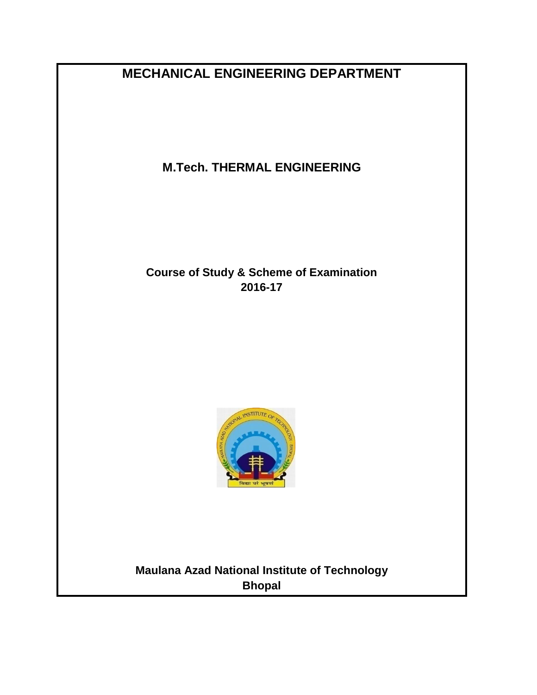**MECHANICAL ENGINEERING DEPARTMENT**

**M.Tech. THERMAL ENGINEERING**

**Course of Study & Scheme of Examination 2016-17**



# **Maulana Azad National Institute of Technology Bhopal**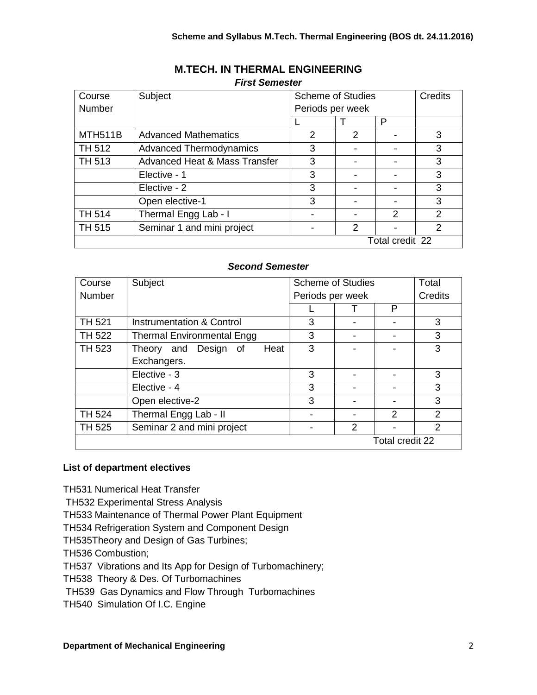| Course        | Subject                                  | <b>Scheme of Studies</b> |               |                 | Credits       |
|---------------|------------------------------------------|--------------------------|---------------|-----------------|---------------|
| Number        |                                          | Periods per week         |               |                 |               |
|               |                                          |                          |               | P               |               |
| MTH511B       | <b>Advanced Mathematics</b>              | 2                        | $\mathcal{P}$ |                 | 3             |
| <b>TH 512</b> | <b>Advanced Thermodynamics</b>           | 3                        |               |                 | 3             |
| <b>TH 513</b> | <b>Advanced Heat &amp; Mass Transfer</b> | 3                        |               |                 | 3             |
|               | Elective - 1                             | 3                        |               |                 | 3             |
|               | Elective - 2                             | 3                        |               |                 | 3             |
|               | Open elective-1                          | 3                        |               |                 | 3             |
| <b>TH 514</b> | Thermal Engg Lab - I                     |                          |               | $\mathcal{P}$   | $\mathcal{P}$ |
| <b>TH 515</b> | Seminar 1 and mini project<br>2          |                          | $\mathcal{P}$ |                 |               |
|               |                                          |                          |               | Total credit 22 |               |

# **M.TECH. IN THERMAL ENGINEERING** *First Semester*

# *Second Semester*

| Course        | Subject                           | <b>Scheme of Studies</b> |   | Total           |                |
|---------------|-----------------------------------|--------------------------|---|-----------------|----------------|
| Number        |                                   | Periods per week         |   | Credits         |                |
|               |                                   |                          |   | P               |                |
| <b>TH 521</b> | Instrumentation & Control         | 3                        |   |                 | 3              |
| <b>TH 522</b> | <b>Thermal Environmental Engg</b> | 3                        |   |                 | 3              |
| <b>TH 523</b> | Design of<br>Heat<br>Theory and   | 3                        |   |                 | 3              |
|               | Exchangers.                       |                          |   |                 |                |
|               | Elective - 3                      | 3                        |   |                 | 3              |
|               | Elective - 4                      | 3                        |   |                 | 3              |
|               | Open elective-2                   | 3                        |   |                 | 3              |
| <b>TH 524</b> | Thermal Engg Lab - II             |                          |   | 2               | $\overline{2}$ |
| <b>TH 525</b> | Seminar 2 and mini project        |                          | 2 |                 | $\overline{2}$ |
|               |                                   |                          |   | Total credit 22 |                |

## **List of department electives**

TH531 Numerical Heat Transfer

TH532 Experimental Stress Analysis

TH533 Maintenance of Thermal Power Plant Equipment

TH534 Refrigeration System and Component Design

TH535Theory and Design of Gas Turbines;

TH536 Combustion;

TH537 Vibrations and Its App for Design of Turbomachinery;

TH538 Theory & Des. Of Turbomachines

TH539 Gas Dynamics and Flow Through Turbomachines

TH540 Simulation Of I.C. Engine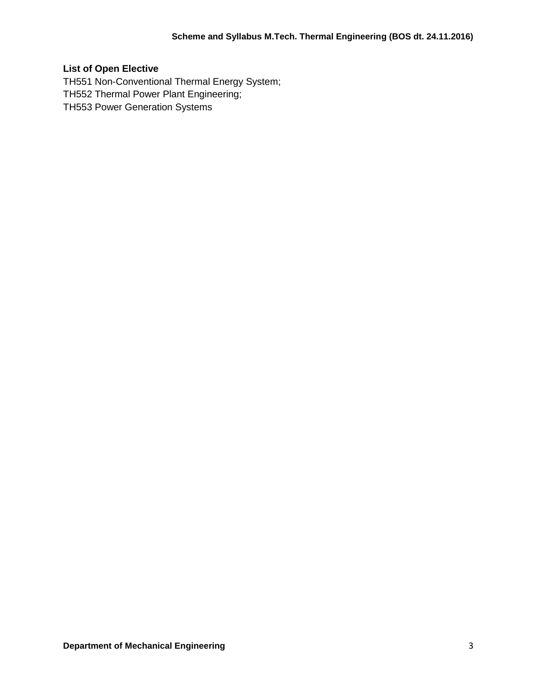# **List of Open Elective**

TH551 Non-Conventional Thermal Energy System; TH552 Thermal Power Plant Engineering; TH553 Power Generation Systems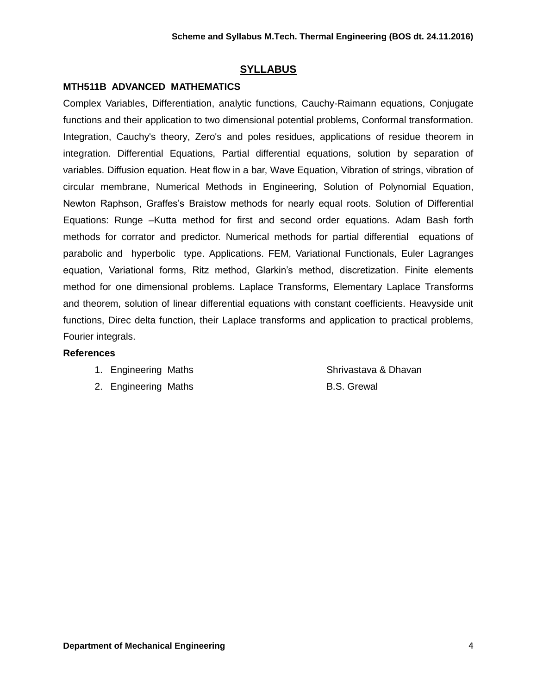# **SYLLABUS**

# **MTH511B ADVANCED MATHEMATICS**

Complex Variables, Differentiation, analytic functions, Cauchy-Raimann equations, Conjugate functions and their application to two dimensional potential problems, Conformal transformation. Integration, Cauchy's theory, Zero's and poles residues, applications of residue theorem in integration. Differential Equations, Partial differential equations, solution by separation of variables. Diffusion equation. Heat flow in a bar, Wave Equation, Vibration of strings, vibration of circular membrane, Numerical Methods in Engineering, Solution of Polynomial Equation, Newton Raphson, Graffes's Braistow methods for nearly equal roots. Solution of Differential Equations: Runge –Kutta method for first and second order equations. Adam Bash forth methods for corrator and predictor. Numerical methods for partial differential equations of parabolic and hyperbolic type. Applications. FEM, Variational Functionals, Euler Lagranges equation, Variational forms, Ritz method, Glarkin's method, discretization. Finite elements method for one dimensional problems. Laplace Transforms, Elementary Laplace Transforms and theorem, solution of linear differential equations with constant coefficients. Heavyside unit functions, Direc delta function, their Laplace transforms and application to practical problems, Fourier integrals.

- 1. Engineering Maths Shrivastava & Dhavan
- 2. Engineering Maths B.S. Grewal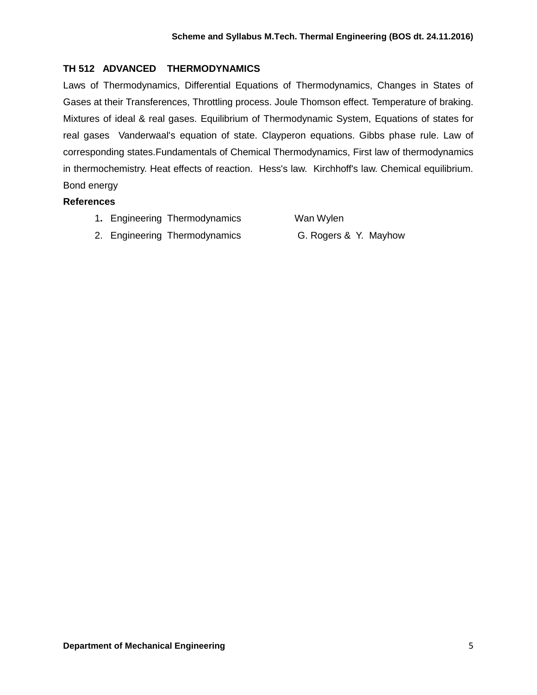# **TH 512 ADVANCED THERMODYNAMICS**

Laws of Thermodynamics, Differential Equations of Thermodynamics, Changes in States of Gases at their Transferences, Throttling process. Joule Thomson effect. Temperature of braking. Mixtures of ideal & real gases. Equilibrium of Thermodynamic System, Equations of states for real gases Vanderwaal's equation of state. Clayperon equations. Gibbs phase rule. Law of corresponding states.Fundamentals of Chemical Thermodynamics, First law of thermodynamics in thermochemistry. Heat effects of reaction. Hess's law. Kirchhoff's law. Chemical equilibrium. Bond energy

## **References**

1**.** Engineering Thermodynamics Wan Wylen

2. Engineering Thermodynamics G. Rogers & Y. Mayhow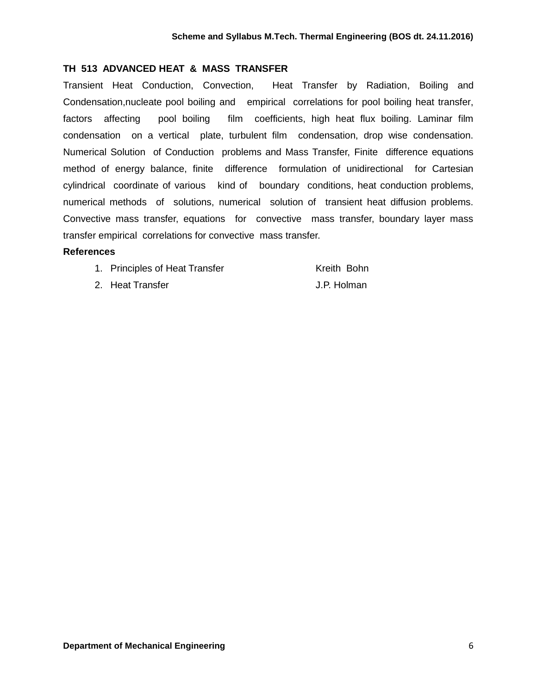#### **TH 513 ADVANCED HEAT & MASS TRANSFER**

Transient Heat Conduction, Convection, Heat Transfer by Radiation, Boiling and Condensation,nucleate pool boiling and empirical correlations for pool boiling heat transfer, factors affecting pool boiling film coefficients, high heat flux boiling. Laminar film condensation on a vertical plate, turbulent film condensation, drop wise condensation. Numerical Solution of Conduction problems and Mass Transfer, Finite difference equations method of energy balance, finite difference formulation of unidirectional for Cartesian cylindrical coordinate of various kind of boundary conditions, heat conduction problems, numerical methods of solutions, numerical solution of transient heat diffusion problems. Convective mass transfer, equations for convective mass transfer, boundary layer mass transfer empirical correlations for convective mass transfer.

| 1. Principles of Heat Transfer | Kreith Bohn |
|--------------------------------|-------------|
| 2. Heat Transfer               | J.P. Holman |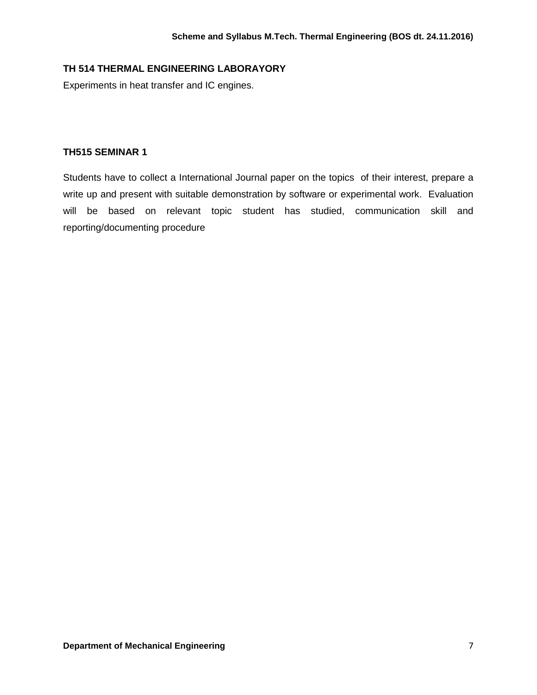# **TH 514 THERMAL ENGINEERING LABORAYORY**

Experiments in heat transfer and IC engines.

## **TH515 SEMINAR 1**

Students have to collect a International Journal paper on the topics of their interest, prepare a write up and present with suitable demonstration by software or experimental work. Evaluation will be based on relevant topic student has studied, communication skill and reporting/documenting procedure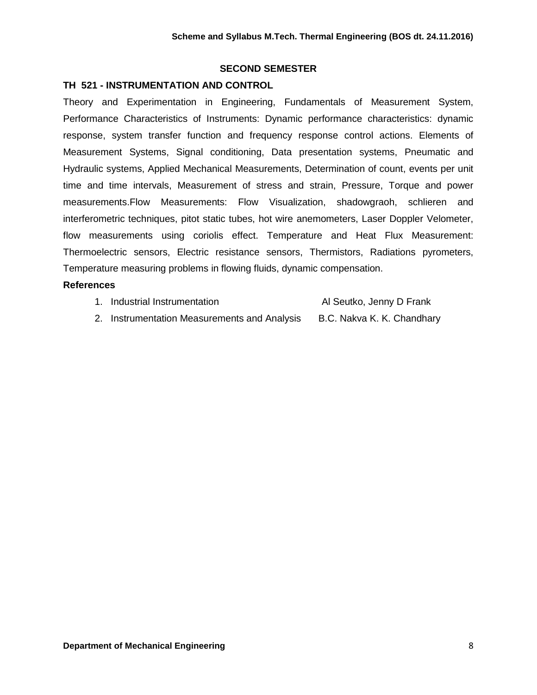# **SECOND SEMESTER**

## **TH 521 - INSTRUMENTATION AND CONTROL**

Theory and Experimentation in Engineering, Fundamentals of Measurement System, Performance Characteristics of Instruments: Dynamic performance characteristics: dynamic response, system transfer function and frequency response control actions. Elements of Measurement Systems, Signal conditioning, Data presentation systems, Pneumatic and Hydraulic systems, Applied Mechanical Measurements, Determination of count, events per unit time and time intervals, Measurement of stress and strain, Pressure, Torque and power measurements.Flow Measurements: Flow Visualization, shadowgraoh, schlieren and interferometric techniques, pitot static tubes, hot wire anemometers, Laser Doppler Velometer, flow measurements using coriolis effect. Temperature and Heat Flux Measurement: Thermoelectric sensors, Electric resistance sensors, Thermistors, Radiations pyrometers, Temperature measuring problems in flowing fluids, dynamic compensation.

| 1. Industrial Instrumentation                | Al Seutko, Jenny D Frank   |
|----------------------------------------------|----------------------------|
| 2. Instrumentation Measurements and Analysis | B.C. Nakva K. K. Chandhary |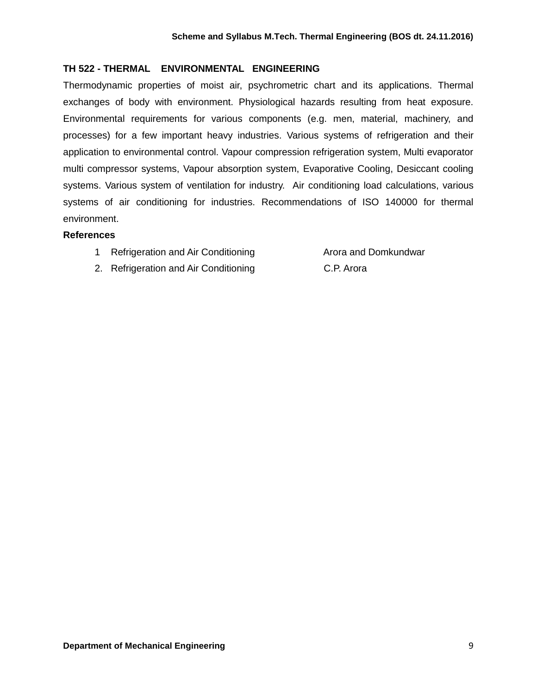# **TH 522 - THERMAL ENVIRONMENTAL ENGINEERING**

Thermodynamic properties of moist air, psychrometric chart and its applications. Thermal exchanges of body with environment. Physiological hazards resulting from heat exposure. Environmental requirements for various components (e.g. men, material, machinery, and processes) for a few important heavy industries. Various systems of refrigeration and their application to environmental control. Vapour compression refrigeration system, Multi evaporator multi compressor systems, Vapour absorption system, Evaporative Cooling, Desiccant cooling systems. Various system of ventilation for industry. Air conditioning load calculations, various systems of air conditioning for industries. Recommendations of ISO 140000 for thermal environment.

- 1 Refrigeration and Air Conditioning The Martin Arora and Domkundwar
- 
- 2. Refrigeration and Air Conditioning C.P. Arora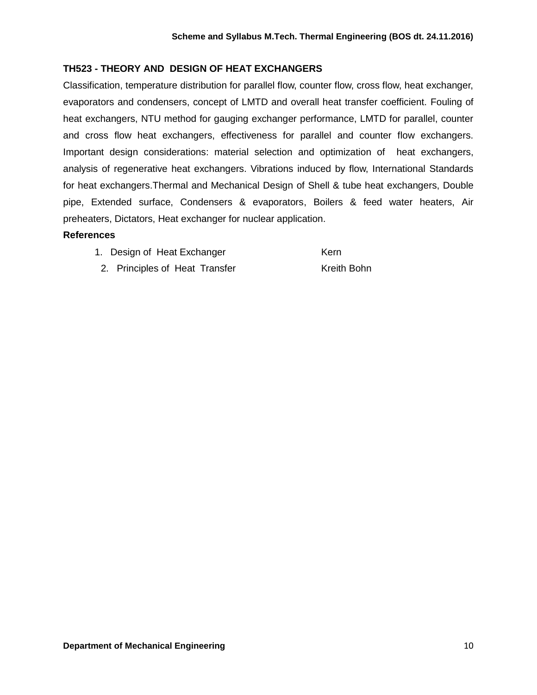# **TH523 - THEORY AND DESIGN OF HEAT EXCHANGERS**

Classification, temperature distribution for parallel flow, counter flow, cross flow, heat exchanger, evaporators and condensers, concept of LMTD and overall heat transfer coefficient. Fouling of heat exchangers, NTU method for gauging exchanger performance, LMTD for parallel, counter and cross flow heat exchangers, effectiveness for parallel and counter flow exchangers. Important design considerations: material selection and optimization of heat exchangers, analysis of regenerative heat exchangers. Vibrations induced by flow, International Standards for heat exchangers.Thermal and Mechanical Design of Shell & tube heat exchangers, Double pipe, Extended surface, Condensers & evaporators, Boilers & feed water heaters, Air preheaters, Dictators, Heat exchanger for nuclear application.

## **References**

1. Design of Heat Exchanger Kern

2. Principles of Heat Transfer Kreith Bohn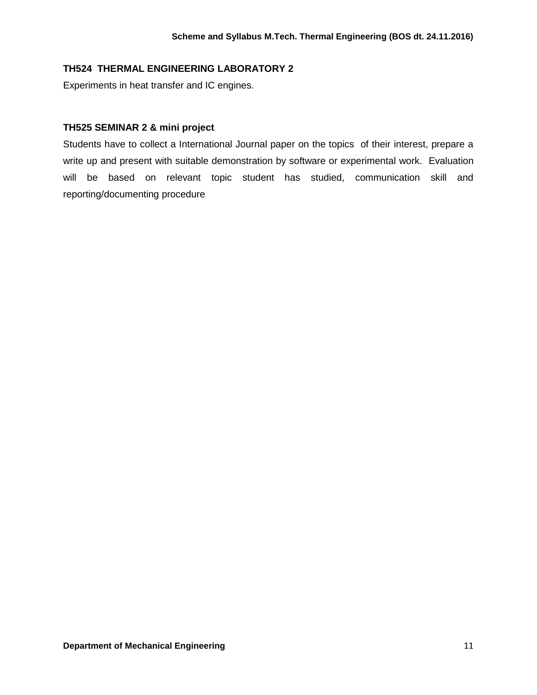# **TH524 THERMAL ENGINEERING LABORATORY 2**

Experiments in heat transfer and IC engines.

## **TH525 SEMINAR 2 & mini project**

Students have to collect a International Journal paper on the topics of their interest, prepare a write up and present with suitable demonstration by software or experimental work. Evaluation will be based on relevant topic student has studied, communication skill and reporting/documenting procedure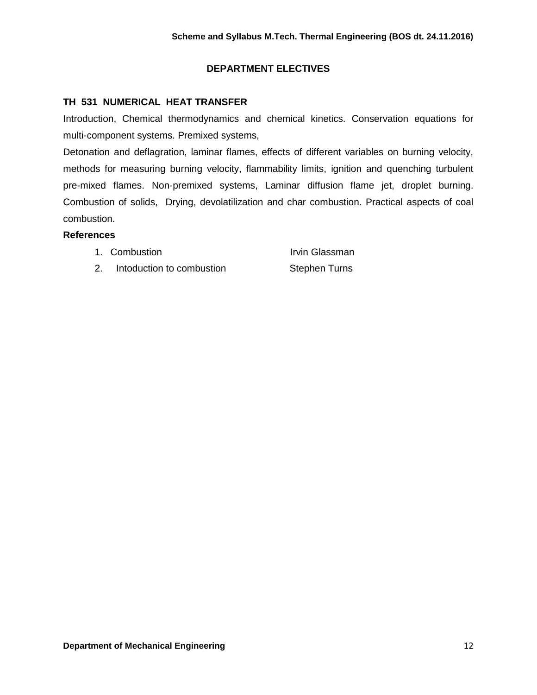# **DEPARTMENT ELECTIVES**

# **TH 531 NUMERICAL HEAT TRANSFER**

Introduction, Chemical thermodynamics and chemical kinetics. Conservation equations for multi-component systems. Premixed systems,

Detonation and deflagration, laminar flames, effects of different variables on burning velocity, methods for measuring burning velocity, flammability limits, ignition and quenching turbulent pre-mixed flames. Non-premixed systems, Laminar diffusion flame jet, droplet burning. Combustion of solids, Drying, devolatilization and char combustion. Practical aspects of coal combustion.

- 1. Combustion **Irvin Glassman**
- 2. Intoduction to combustion Stephen Turns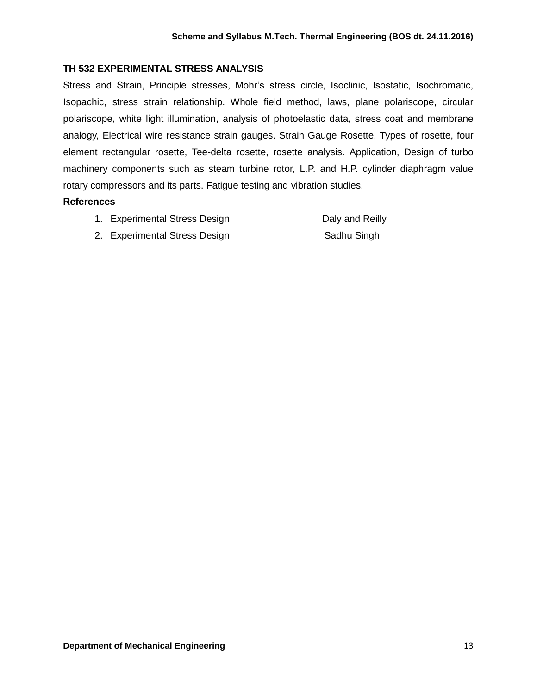# **TH 532 EXPERIMENTAL STRESS ANALYSIS**

Stress and Strain, Principle stresses, Mohr's stress circle, Isoclinic, Isostatic, Isochromatic, Isopachic, stress strain relationship. Whole field method, laws, plane polariscope, circular polariscope, white light illumination, analysis of photoelastic data, stress coat and membrane analogy, Electrical wire resistance strain gauges. Strain Gauge Rosette, Types of rosette, four element rectangular rosette, Tee-delta rosette, rosette analysis. Application, Design of turbo machinery components such as steam turbine rotor, L.P. and H.P. cylinder diaphragm value rotary compressors and its parts. Fatigue testing and vibration studies.

- 1. Experimental Stress Design **Daly and Reilly**
- 2. Experimental Stress Design Sadhu Singh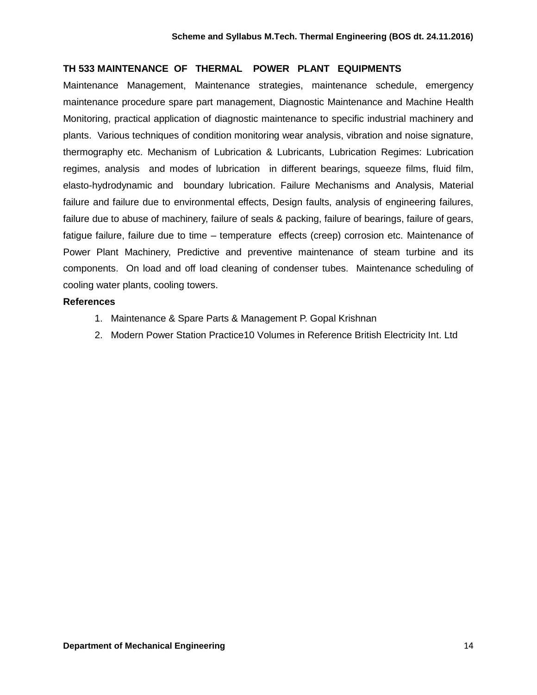#### **TH 533 MAINTENANCE OF THERMAL POWER PLANT EQUIPMENTS**

Maintenance Management, Maintenance strategies, maintenance schedule, emergency maintenance procedure spare part management, Diagnostic Maintenance and Machine Health Monitoring, practical application of diagnostic maintenance to specific industrial machinery and plants. Various techniques of condition monitoring wear analysis, vibration and noise signature, thermography etc. Mechanism of Lubrication & Lubricants, Lubrication Regimes: Lubrication regimes, analysis and modes of lubrication in different bearings, squeeze films, fluid film, elasto-hydrodynamic and boundary lubrication. Failure Mechanisms and Analysis, Material failure and failure due to environmental effects, Design faults, analysis of engineering failures, failure due to abuse of machinery, failure of seals & packing, failure of bearings, failure of gears, fatigue failure, failure due to time – temperature effects (creep) corrosion etc. Maintenance of Power Plant Machinery, Predictive and preventive maintenance of steam turbine and its components. On load and off load cleaning of condenser tubes. Maintenance scheduling of cooling water plants, cooling towers.

- 1. Maintenance & Spare Parts & Management P. Gopal Krishnan
- 2. Modern Power Station Practice10 Volumes in Reference British Electricity Int. Ltd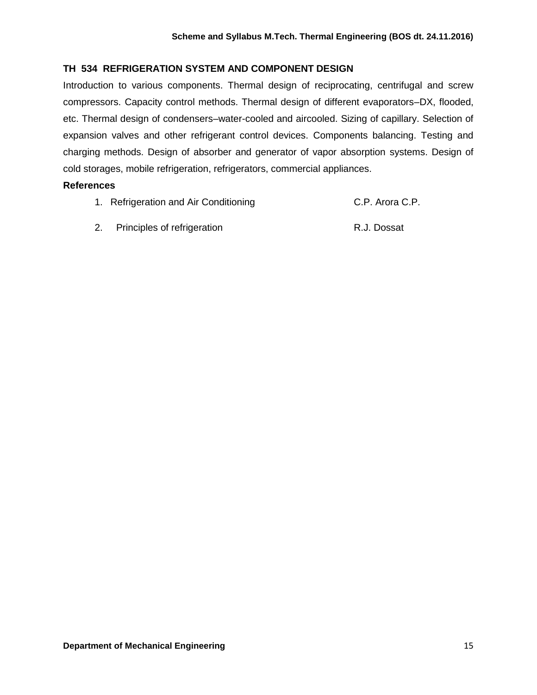# **TH 534 REFRIGERATION SYSTEM AND COMPONENT DESIGN**

Introduction to various components. Thermal design of reciprocating, centrifugal and screw compressors. Capacity control methods. Thermal design of different evaporators–DX, flooded, etc. Thermal design of condensers–water-cooled and aircooled. Sizing of capillary. Selection of expansion valves and other refrigerant control devices. Components balancing. Testing and charging methods. Design of absorber and generator of vapor absorption systems. Design of cold storages, mobile refrigeration, refrigerators, commercial appliances.

- 1. Refrigeration and Air Conditioning The C.P. Arora C.P.
- 2. Principles of refrigeration **R.J. Dossat**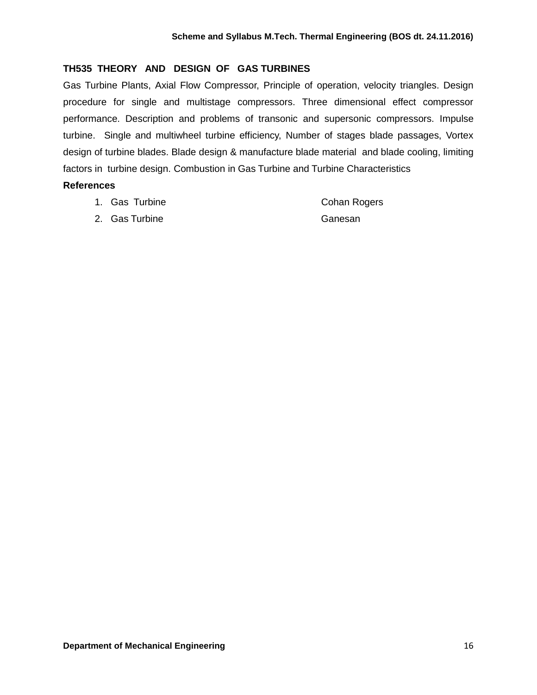# **TH535 THEORY AND DESIGN OF GAS TURBINES**

Gas Turbine Plants, Axial Flow Compressor, Principle of operation, velocity triangles. Design procedure for single and multistage compressors. Three dimensional effect compressor performance. Description and problems of transonic and supersonic compressors. Impulse turbine. Single and multiwheel turbine efficiency, Number of stages blade passages, Vortex design of turbine blades. Blade design & manufacture blade material and blade cooling, limiting factors in turbine design. Combustion in Gas Turbine and Turbine Characteristics

#### **References**

|  |  | 1. Gas Turbine | <b>Cohan Rogers</b> |
|--|--|----------------|---------------------|
|--|--|----------------|---------------------|

2. Gas Turbine Ganesan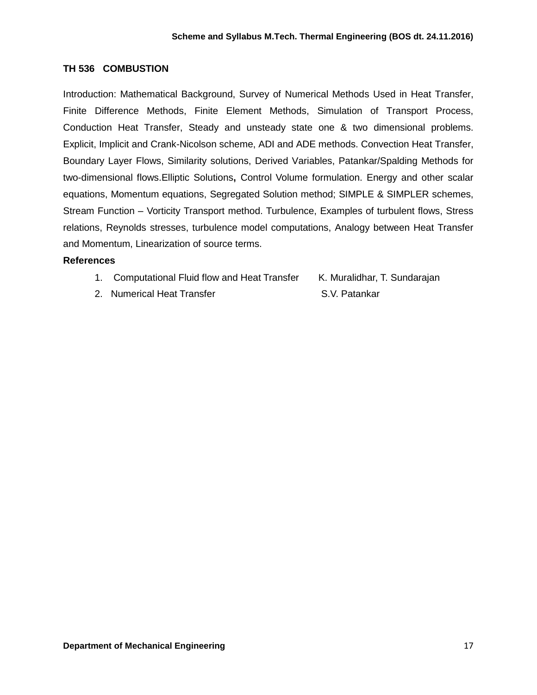# **TH 536 COMBUSTION**

Introduction: Mathematical Background, Survey of Numerical Methods Used in Heat Transfer, Finite Difference Methods, Finite Element Methods, Simulation of Transport Process, Conduction Heat Transfer, Steady and unsteady state one & two dimensional problems. Explicit, Implicit and Crank-Nicolson scheme, ADI and ADE methods. Convection Heat Transfer, Boundary Layer Flows, Similarity solutions, Derived Variables, Patankar/Spalding Methods for two-dimensional flows.Elliptic Solutions**,** Control Volume formulation. Energy and other scalar equations, Momentum equations, Segregated Solution method; SIMPLE & SIMPLER schemes, Stream Function – Vorticity Transport method. Turbulence, Examples of turbulent flows, Stress relations, Reynolds stresses, turbulence model computations, Analogy between Heat Transfer and Momentum, Linearization of source terms.

- 1. Computational Fluid flow and Heat Transfer K. Muralidhar, T. Sundarajan
	-
- 2. Numerical Heat Transfer S.V. Patankar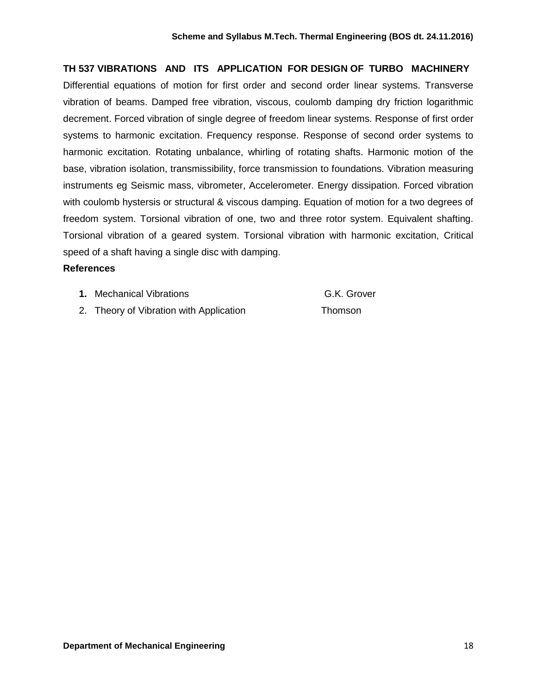# **TH 537 VIBRATIONS AND ITS APPLICATION FOR DESIGN OF TURBO MACHINERY**

Differential equations of motion for first order and second order linear systems. Transverse vibration of beams. Damped free vibration, viscous, coulomb damping dry friction logarithmic decrement. Forced vibration of single degree of freedom linear systems. Response of first order systems to harmonic excitation. Frequency response. Response of second order systems to harmonic excitation. Rotating unbalance, whirling of rotating shafts. Harmonic motion of the base, vibration isolation, transmissibility, force transmission to foundations. Vibration measuring instruments eg Seismic mass, vibrometer, Accelerometer. Energy dissipation. Forced vibration with coulomb hystersis or structural & viscous damping. Equation of motion for a two degrees of freedom system. Torsional vibration of one, two and three rotor system. Equivalent shafting. Torsional vibration of a geared system. Torsional vibration with harmonic excitation, Critical speed of a shaft having a single disc with damping.

#### **References**

|  | 1. | <b>Mechanical Vibrations</b> |  |
|--|----|------------------------------|--|
|--|----|------------------------------|--|

# **G.K. Grover**

2. Theory of Vibration with Application Thomson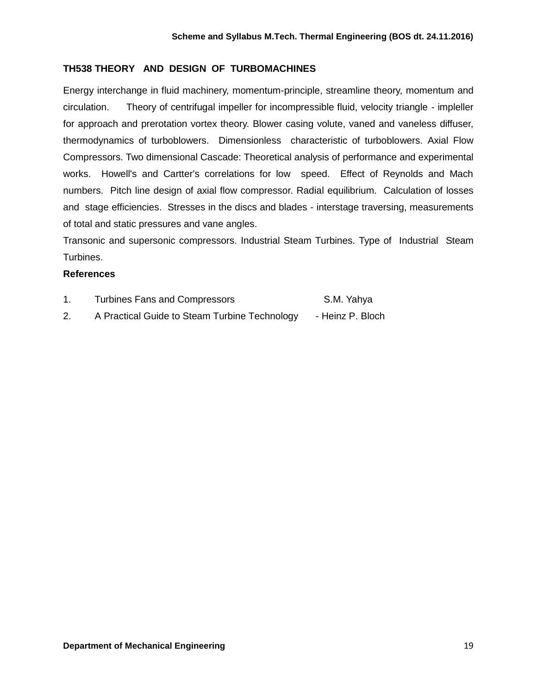# **TH538 THEORY AND DESIGN OF TURBOMACHINES**

Energy interchange in fluid machinery, momentum-principle, streamline theory, momentum and circulation. Theory of centrifugal impeller for incompressible fluid, velocity triangle - impleller for approach and prerotation vortex theory. Blower casing volute, vaned and vaneless diffuser, thermodynamics of turboblowers. Dimensionless characteristic of turboblowers. Axial Flow Compressors. Two dimensional Cascade: Theoretical analysis of performance and experimental works. Howell's and Cartter's correlations for low speed. Effect of Reynolds and Mach numbers. Pitch line design of axial flow compressor. Radial equilibrium. Calculation of losses and stage efficiencies. Stresses in the discs and blades - interstage traversing, measurements of total and static pressures and vane angles.

Transonic and supersonic compressors. Industrial Steam Turbines. Type of Industrial Steam Turbines.

| <b>Turbines Fans and Compressors</b>          | S.M. Yahya       |
|-----------------------------------------------|------------------|
| A Practical Guide to Steam Turbine Technology | - Heinz P. Bloch |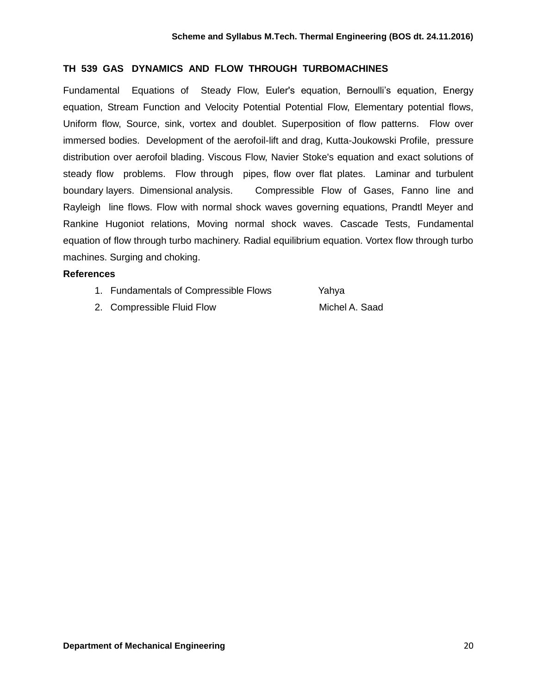# **TH 539 GAS DYNAMICS AND FLOW THROUGH TURBOMACHINES**

Fundamental Equations of Steady Flow, Euler's equation, Bernoulli's equation, Energy equation, Stream Function and Velocity Potential Potential Flow, Elementary potential flows, Uniform flow, Source, sink, vortex and doublet. Superposition of flow patterns. Flow over immersed bodies. Development of the aerofoil-lift and drag, Kutta-Joukowski Profile, pressure distribution over aerofoil blading. Viscous Flow, Navier Stoke's equation and exact solutions of steady flow problems. Flow through pipes, flow over flat plates. Laminar and turbulent boundary layers. Dimensional analysis. Compressible Flow of Gases, Fanno line and Rayleigh line flows. Flow with normal shock waves governing equations, Prandtl Meyer and Rankine Hugoniot relations, Moving normal shock waves. Cascade Tests, Fundamental equation of flow through turbo machinery. Radial equilibrium equation. Vortex flow through turbo machines. Surging and choking.

#### **References**

| 1. Fundamentals of Compressible Flows | Yahya |
|---------------------------------------|-------|
|---------------------------------------|-------|

2. Compressible Fluid Flow Michel A. Saad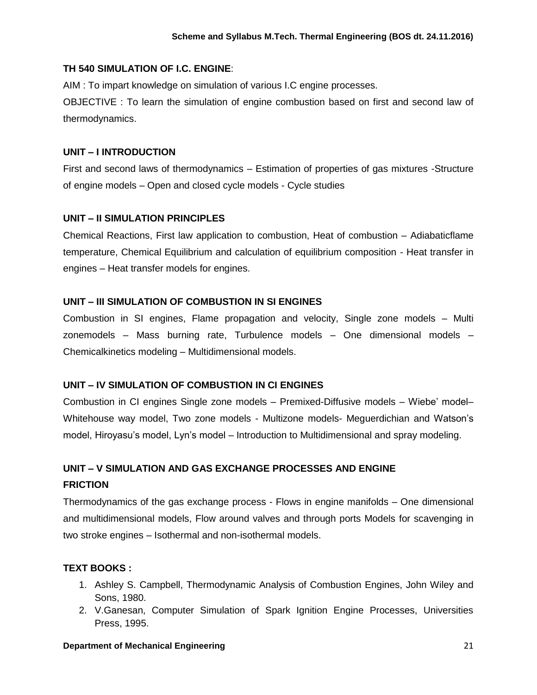# **TH 540 SIMULATION OF I.C. ENGINE**:

AIM : To impart knowledge on simulation of various I.C engine processes.

OBJECTIVE : To learn the simulation of engine combustion based on first and second law of thermodynamics.

# **UNIT – I INTRODUCTION**

First and second laws of thermodynamics – Estimation of properties of gas mixtures -Structure of engine models – Open and closed cycle models - Cycle studies

# **UNIT – II SIMULATION PRINCIPLES**

Chemical Reactions, First law application to combustion, Heat of combustion – Adiabaticflame temperature, Chemical Equilibrium and calculation of equilibrium composition - Heat transfer in engines – Heat transfer models for engines.

# **UNIT – III SIMULATION OF COMBUSTION IN SI ENGINES**

Combustion in SI engines, Flame propagation and velocity, Single zone models – Multi zonemodels – Mass burning rate, Turbulence models – One dimensional models – Chemicalkinetics modeling – Multidimensional models.

# **UNIT – IV SIMULATION OF COMBUSTION IN CI ENGINES**

Combustion in CI engines Single zone models – Premixed-Diffusive models – Wiebe' model– Whitehouse way model, Two zone models - Multizone models- Meguerdichian and Watson's model, Hiroyasu's model, Lyn's model – Introduction to Multidimensional and spray modeling.

# **UNIT – V SIMULATION AND GAS EXCHANGE PROCESSES AND ENGINE FRICTION**

Thermodynamics of the gas exchange process - Flows in engine manifolds – One dimensional and multidimensional models, Flow around valves and through ports Models for scavenging in two stroke engines – Isothermal and non-isothermal models.

# **TEXT BOOKS :**

- 1. Ashley S. Campbell, Thermodynamic Analysis of Combustion Engines, John Wiley and Sons, 1980.
- 2. V.Ganesan, Computer Simulation of Spark Ignition Engine Processes, Universities Press, 1995.

#### **Department of Mechanical Engineering 21 and 21 and 22 and 23 and 24 and 24 and 24 and 24 and 24 and 24 and 24 and 24 and 25 and 26 and 26 and 26 and 26 and 27 and 27 and 27 and 27 and 27 and 27 and 27 and 27 and 27 and 27**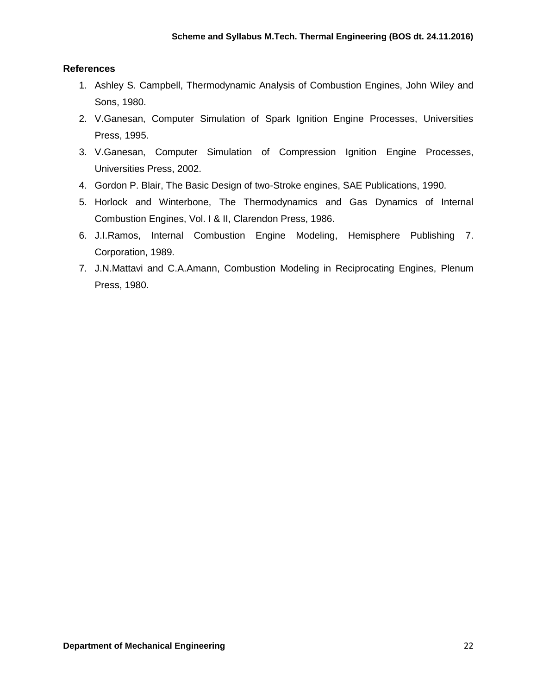- 1. Ashley S. Campbell, Thermodynamic Analysis of Combustion Engines, John Wiley and Sons, 1980.
- 2. V.Ganesan, Computer Simulation of Spark Ignition Engine Processes, Universities Press, 1995.
- 3. V.Ganesan, Computer Simulation of Compression Ignition Engine Processes, Universities Press, 2002.
- 4. Gordon P. Blair, The Basic Design of two-Stroke engines, SAE Publications, 1990.
- 5. Horlock and Winterbone, The Thermodynamics and Gas Dynamics of Internal Combustion Engines, Vol. I & II, Clarendon Press, 1986.
- 6. J.I.Ramos, Internal Combustion Engine Modeling, Hemisphere Publishing 7. Corporation, 1989.
- 7. J.N.Mattavi and C.A.Amann, Combustion Modeling in Reciprocating Engines, Plenum Press, 1980.